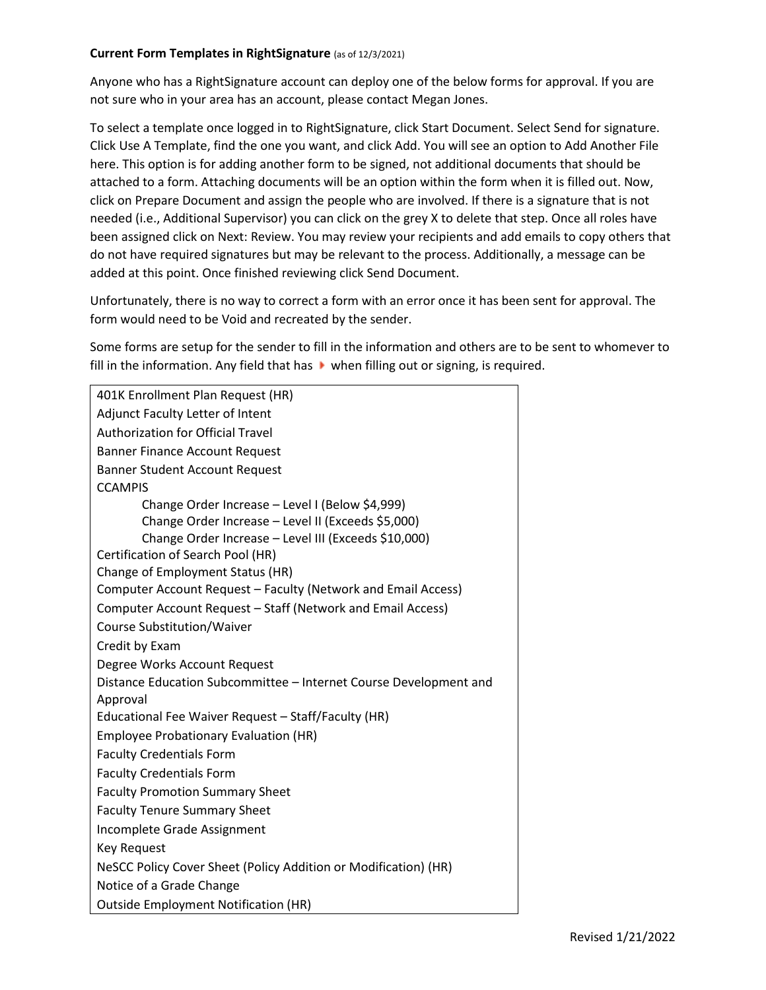## **Current Form Templates in RightSignature** (as of 12/3/2021)

Anyone who has a RightSignature account can deploy one of the below forms for approval. If you are not sure who in your area has an account, please contact Megan Jones.

To select a template once logged in to RightSignature, click Start Document. Select Send for signature. Click Use A Template, find the one you want, and click Add. You will see an option to Add Another File here. This option is for adding another form to be signed, not additional documents that should be attached to a form. Attaching documents will be an option within the form when it is filled out. Now, click on Prepare Document and assign the people who are involved. If there is a signature that is not needed (i.e., Additional Supervisor) you can click on the grey X to delete that step. Once all roles have been assigned click on Next: Review. You may review your recipients and add emails to copy others that do not have required signatures but may be relevant to the process. Additionally, a message can be added at this point. Once finished reviewing click Send Document.

Unfortunately, there is no way to correct a form with an error once it has been sent for approval. The form would need to be Void and recreated by the sender.

Some forms are setup for the sender to fill in the information and others are to be sent to whomever to fill in the information. Any field that has  $\blacktriangleright$  when filling out or signing, is required.

| 401K Enrollment Plan Request (HR)<br>Adjunct Faculty Letter of Intent<br><b>Authorization for Official Travel</b><br><b>Banner Finance Account Request</b><br><b>Banner Student Account Request</b><br><b>CCAMPIS</b> |
|-----------------------------------------------------------------------------------------------------------------------------------------------------------------------------------------------------------------------|
|                                                                                                                                                                                                                       |
|                                                                                                                                                                                                                       |
|                                                                                                                                                                                                                       |
|                                                                                                                                                                                                                       |
|                                                                                                                                                                                                                       |
|                                                                                                                                                                                                                       |
| Change Order Increase - Level I (Below \$4,999)                                                                                                                                                                       |
| Change Order Increase - Level II (Exceeds \$5,000)                                                                                                                                                                    |
| Change Order Increase - Level III (Exceeds \$10,000)                                                                                                                                                                  |
| Certification of Search Pool (HR)                                                                                                                                                                                     |
| Change of Employment Status (HR)                                                                                                                                                                                      |
| Computer Account Request - Faculty (Network and Email Access)                                                                                                                                                         |
| Computer Account Request - Staff (Network and Email Access)                                                                                                                                                           |
| <b>Course Substitution/Waiver</b>                                                                                                                                                                                     |
| Credit by Exam                                                                                                                                                                                                        |
| Degree Works Account Request                                                                                                                                                                                          |
| Distance Education Subcommittee - Internet Course Development and                                                                                                                                                     |
| Approval                                                                                                                                                                                                              |
| Educational Fee Waiver Request - Staff/Faculty (HR)                                                                                                                                                                   |
| <b>Employee Probationary Evaluation (HR)</b>                                                                                                                                                                          |
| <b>Faculty Credentials Form</b>                                                                                                                                                                                       |
| <b>Faculty Credentials Form</b>                                                                                                                                                                                       |
| <b>Faculty Promotion Summary Sheet</b>                                                                                                                                                                                |
| <b>Faculty Tenure Summary Sheet</b>                                                                                                                                                                                   |
| Incomplete Grade Assignment                                                                                                                                                                                           |
| <b>Key Request</b>                                                                                                                                                                                                    |
| NeSCC Policy Cover Sheet (Policy Addition or Modification) (HR)                                                                                                                                                       |
| Notice of a Grade Change                                                                                                                                                                                              |
| <b>Outside Employment Notification (HR)</b>                                                                                                                                                                           |